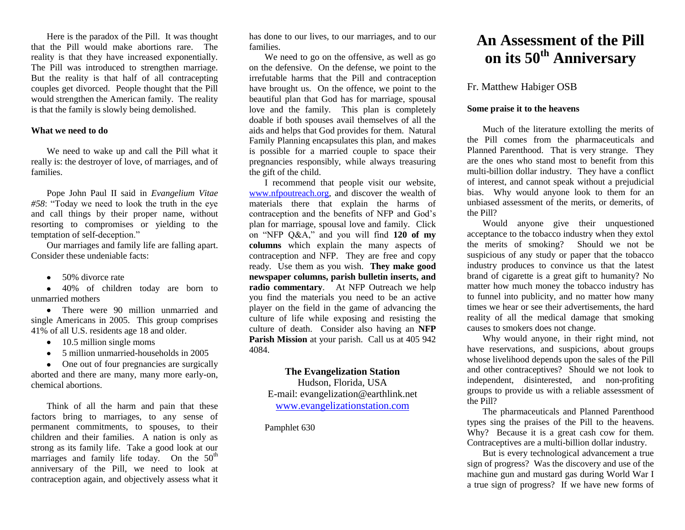Here is the paradox of the Pill. It was thought that the Pill would make abortions rare. The reality is that they have increased exponentially. The Pill was introduced to strengthen marriage. But the reality is that half of all contracepting couples get divorced. People thought that the Pill would strengthen the American family. The reality is that the family is slowly being demolished.

#### **What we need to do**

We need to wake up and call the Pill what it really is: the destroyer of love, of marriages, and of families.

Pope John Paul II said in *Evangelium Vitae #58*: "Today we need to look the truth in the eye and call things by their proper name, without resorting to compromises or yielding to the temptation of self-deception."

Our marriages and family life are falling apart. Consider these undeniable facts:

• 50% divorce rate

40% of children today are born to unmarried mothers

• There were 90 million unmarried and single Americans in 2005. This group comprises 41% of all U.S. residents age 18 and older.

- $\bullet$  10.5 million single moms
- 5 million unmarried-households in 2005

• One out of four pregnancies are surgically aborted and there are many, many more early-on, chemical abortions.

Think of all the harm and pain that these factors bring to marriages, to any sense of permanent commitments, to spouses, to their children and their families. A nation is only as strong as its family life. Take a good look at our marriages and family life today. On the  $50<sup>th</sup>$ anniversary of the Pill, we need to look at contraception again, and objectively assess what it has done to our lives, to our marriages, and to our families.

We need to go on the offensive, as well as go on the defensive. On the defense, we point to the irrefutable harms that the Pill and contraception have brought us. On the offence, we point to the beautiful plan that God has for marriage, spousal love and the family. This plan is completely doable if both spouses avail themselves of all the aids and helps that God provides for them. Natural Family Planning encapsulates this plan, and makes is possible for a married couple to space their pregnancies responsibly, while always treasuring the gift of the child.

I recommend that people visit our website, [www.nfpoutreach.org,](http://www.nfpoutreach.org/) and discover the wealth of materials there that explain the harms of contraception and the benefits of NFP and God's plan for marriage, spousal love and family. Click on "NFP Q&A," and you will find **120 of my columns** which explain the many aspects of contraception and NFP. They are free and copy ready. Use them as you wish. **They make good newspaper columns, parish bulletin inserts, and radio commentary**. At NFP Outreach we help you find the materials you need to be an active player on the field in the game of advancing the culture of life while exposing and resisting the culture of death. Consider also having an **NFP Parish Mission** at your parish. Call us at 405 942 4084.

## **The Evangelization Station**

Hudson, Florida, USA E-mail: evangelization@earthlink.net [www.evangelizationstation.com](http://www.pjpiisoe.org/)

Pamphlet 630

# **An Assessment of the Pill on its 50th Anniversary**

## Fr. Matthew Habiger OSB

#### **Some praise it to the heavens**

Much of the literature extolling the merits of the Pill comes from the pharmaceuticals and Planned Parenthood. That is very strange. They are the ones who stand most to benefit from this multi-billion dollar industry. They have a conflict of interest, and cannot speak without a prejudicial bias. Why would anyone look to them for an unbiased assessment of the merits, or demerits, of the Pill?

Would anyone give their unquestioned acceptance to the tobacco industry when they extol the merits of smoking? Should we not be suspicious of any study or paper that the tobacco industry produces to convince us that the latest brand of cigarette is a great gift to humanity? No matter how much money the tobacco industry has to funnel into publicity, and no matter how many times we hear or see their advertisements, the hard reality of all the medical damage that smoking causes to smokers does not change.

Why would anyone, in their right mind, not have reservations, and suspicions, about groups whose livelihood depends upon the sales of the Pill and other contraceptives? Should we not look to independent, disinterested, and non-profiting groups to provide us with a reliable assessment of the Pill?

The pharmaceuticals and Planned Parenthood types sing the praises of the Pill to the heavens. Why? Because it is a great cash cow for them. Contraceptives are a multi-billion dollar industry.

But is every technological advancement a true sign of progress? Was the discovery and use of the machine gun and mustard gas during World War I a true sign of progress? If we have new forms of